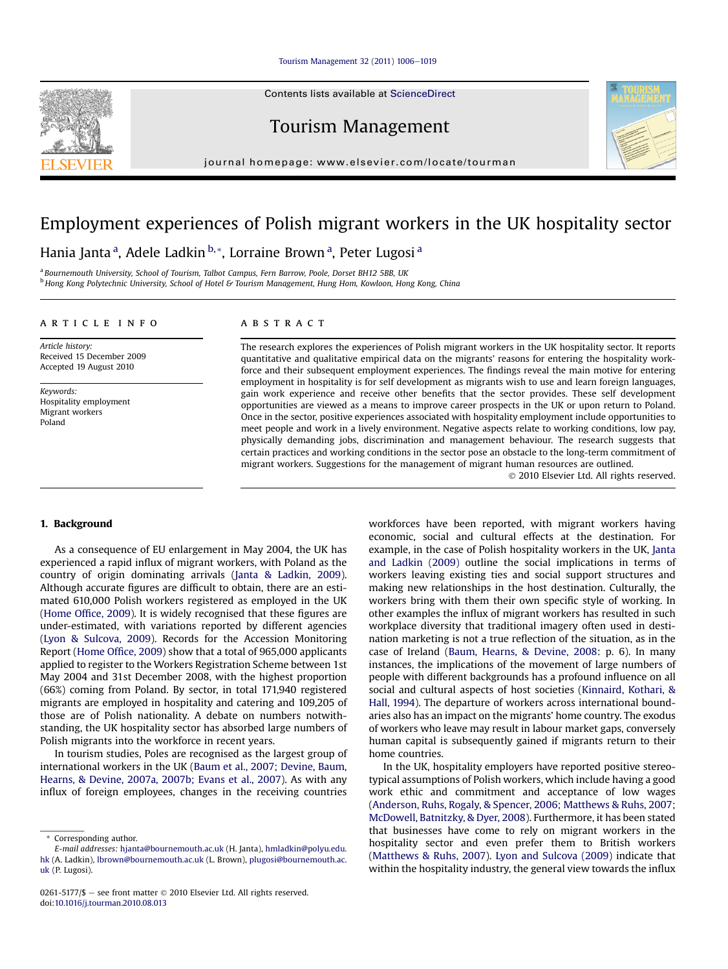#### [Tourism Management 32 \(2011\) 1006](http://dx.doi.org/10.1016/j.tourman.2010.08.013)-[1019](http://dx.doi.org/10.1016/j.tourman.2010.08.013)

Contents lists available at ScienceDirect

Tourism Management

journal homepage: [www.elsevier.com/locate/tourman](http://www.elsevier.com/locate/tourman)

## Employment experiences of Polish migrant workers in the UK hospitality sector

Hania Janta <sup>a</sup>, Adele Ladkin <sup>b, \*</sup>, Lorraine Brown <sup>a</sup>, Peter Lugosi <sup>a</sup>

<sup>a</sup> Bournemouth University, School of Tourism, Talbot Campus, Fern Barrow, Poole, Dorset BH12 5BB, UK **b Hong Kong Polytechnic University, School of Hotel & Tourism Management, Hung Hom, Kowloon, Hong Kong, China** 

#### article info

Article history: Received 15 December 2009 Accepted 19 August 2010

Keywords: Hospitality employment Migrant workers Poland

### ABSTRACT

The research explores the experiences of Polish migrant workers in the UK hospitality sector. It reports quantitative and qualitative empirical data on the migrants' reasons for entering the hospitality workforce and their subsequent employment experiences. The findings reveal the main motive for entering employment in hospitality is for self development as migrants wish to use and learn foreign languages, gain work experience and receive other benefits that the sector provides. These self development opportunities are viewed as a means to improve career prospects in the UK or upon return to Poland. Once in the sector, positive experiences associated with hospitality employment include opportunities to meet people and work in a lively environment. Negative aspects relate to working conditions, low pay, physically demanding jobs, discrimination and management behaviour. The research suggests that certain practices and working conditions in the sector pose an obstacle to the long-term commitment of migrant workers. Suggestions for the management of migrant human resources are outlined.

2010 Elsevier Ltd. All rights reserved.

#### 1. Background

As a consequence of EU enlargement in May 2004, the UK has experienced a rapid influx of migrant workers, with Poland as the country of origin dominating arrivals [\(Janta & Ladkin, 2009\)](#page--1-0). Although accurate figures are difficult to obtain, there are an estimated 610,000 Polish workers registered as employed in the UK ([Home Of](#page--1-0)fice, 2009). It is widely recognised that these figures are under-estimated, with variations reported by different agencies ([Lyon & Sulcova, 2009](#page--1-0)). Records for the Accession Monitoring Report [\(Home Of](#page--1-0)fice, 2009) show that a total of 965,000 applicants applied to register to the Workers Registration Scheme between 1st May 2004 and 31st December 2008, with the highest proportion (66%) coming from Poland. By sector, in total 171,940 registered migrants are employed in hospitality and catering and 109,205 of those are of Polish nationality. A debate on numbers notwithstanding, the UK hospitality sector has absorbed large numbers of Polish migrants into the workforce in recent years.

In tourism studies, Poles are recognised as the largest group of international workers in the UK ([Baum et al., 2007; Devine, Baum,](#page--1-0) [Hearns, & Devine, 2007a, 2007b; Evans et al., 2007\)](#page--1-0). As with any influx of foreign employees, changes in the receiving countries workforces have been reported, with migrant workers having economic, social and cultural effects at the destination. For example, in the case of Polish hospitality workers in the UK, [Janta](#page--1-0) [and Ladkin \(2009\)](#page--1-0) outline the social implications in terms of workers leaving existing ties and social support structures and making new relationships in the host destination. Culturally, the workers bring with them their own specific style of working. In other examples the influx of migrant workers has resulted in such workplace diversity that traditional imagery often used in destination marketing is not a true reflection of the situation, as in the case of Ireland [\(Baum, Hearns, & Devine, 2008:](#page--1-0) p. 6). In many instances, the implications of the movement of large numbers of people with different backgrounds has a profound influence on all social and cultural aspects of host societies [\(Kinnaird, Kothari, &](#page--1-0) [Hall, 1994](#page--1-0)). The departure of workers across international boundaries also has an impact on the migrants' home country. The exodus of workers who leave may result in labour market gaps, conversely human capital is subsequently gained if migrants return to their home countries.

In the UK, hospitality employers have reported positive stereotypical assumptions of Polish workers, which include having a good work ethic and commitment and acceptance of low wages ([Anderson, Ruhs, Rogaly, & Spencer, 2006; Matthews & Ruhs, 2007;](#page--1-0) [McDowell, Batnitzky, & Dyer, 2008](#page--1-0)). Furthermore, it has been stated that businesses have come to rely on migrant workers in the hospitality sector and even prefer them to British workers ([Matthews & Ruhs, 2007](#page--1-0)). [Lyon and Sulcova \(2009\)](#page--1-0) indicate that within the hospitality industry, the general view towards the influx





<sup>\*</sup> Corresponding author.

E-mail addresses: [hjanta@bournemouth.ac.uk](mailto:hjanta@bournemouth.ac.uk) (H. Janta), [hmladkin@polyu.edu.](mailto:hmladkin@polyu.edu.hk) [hk](mailto:hmladkin@polyu.edu.hk) (A. Ladkin), [lbrown@bournemouth.ac.uk](mailto:lbrown@bournemouth.ac.uk) (L. Brown), [plugosi@bournemouth.ac.](mailto:plugosi@bournemouth.ac.uk) [uk](mailto:plugosi@bournemouth.ac.uk) (P. Lugosi).

<sup>0261-5177/\$ -</sup> see front matter  $\odot$  2010 Elsevier Ltd. All rights reserved. doi:[10.1016/j.tourman.2010.08.013](http://dx.doi.org/10.1016/j.tourman.2010.08.013)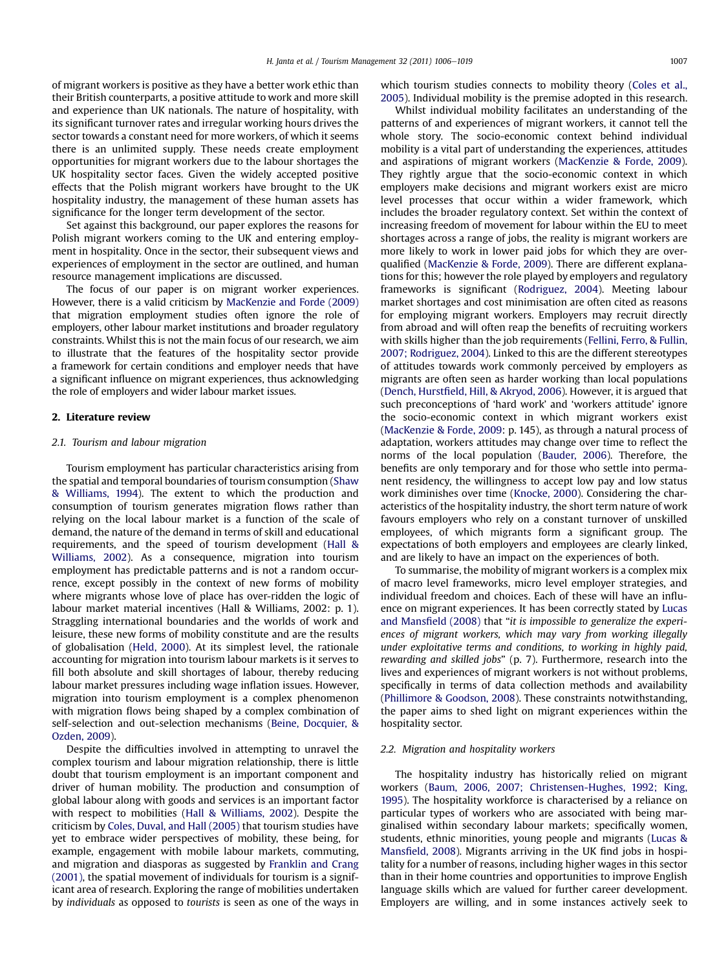of migrant workers is positive as they have a better work ethic than their British counterparts, a positive attitude to work and more skill and experience than UK nationals. The nature of hospitality, with its significant turnover rates and irregular working hours drives the sector towards a constant need for more workers, of which it seems there is an unlimited supply. These needs create employment opportunities for migrant workers due to the labour shortages the UK hospitality sector faces. Given the widely accepted positive effects that the Polish migrant workers have brought to the UK hospitality industry, the management of these human assets has significance for the longer term development of the sector.

Set against this background, our paper explores the reasons for Polish migrant workers coming to the UK and entering employment in hospitality. Once in the sector, their subsequent views and experiences of employment in the sector are outlined, and human resource management implications are discussed.

The focus of our paper is on migrant worker experiences. However, there is a valid criticism by [MacKenzie and Forde \(2009\)](#page--1-0) that migration employment studies often ignore the role of employers, other labour market institutions and broader regulatory constraints. Whilst this is not the main focus of our research, we aim to illustrate that the features of the hospitality sector provide a framework for certain conditions and employer needs that have a significant influence on migrant experiences, thus acknowledging the role of employers and wider labour market issues.

#### 2. Literature review

#### 2.1. Tourism and labour migration

Tourism employment has particular characteristics arising from the spatial and temporal boundaries of tourism consumption [\(Shaw](#page--1-0) [& Williams, 1994\)](#page--1-0). The extent to which the production and consumption of tourism generates migration flows rather than relying on the local labour market is a function of the scale of demand, the nature of the demand in terms of skill and educational requirements, and the speed of tourism development ([Hall &](#page--1-0) [Williams, 2002\)](#page--1-0). As a consequence, migration into tourism employment has predictable patterns and is not a random occurrence, except possibly in the context of new forms of mobility where migrants whose love of place has over-ridden the logic of labour market material incentives (Hall & Williams, 2002: p. 1). Straggling international boundaries and the worlds of work and leisure, these new forms of mobility constitute and are the results of globalisation ([Held, 2000](#page--1-0)). At its simplest level, the rationale accounting for migration into tourism labour markets is it serves to fill both absolute and skill shortages of labour, thereby reducing labour market pressures including wage inflation issues. However, migration into tourism employment is a complex phenomenon with migration flows being shaped by a complex combination of self-selection and out-selection mechanisms ([Beine, Docquier, &](#page--1-0) [Ozden, 2009](#page--1-0)).

Despite the difficulties involved in attempting to unravel the complex tourism and labour migration relationship, there is little doubt that tourism employment is an important component and driver of human mobility. The production and consumption of global labour along with goods and services is an important factor with respect to mobilities ([Hall & Williams, 2002\)](#page--1-0). Despite the criticism by [Coles, Duval, and Hall \(2005\)](#page--1-0) that tourism studies have yet to embrace wider perspectives of mobility, these being, for example, engagement with mobile labour markets, commuting, and migration and diasporas as suggested by [Franklin and Crang](#page--1-0) [\(2001\),](#page--1-0) the spatial movement of individuals for tourism is a significant area of research. Exploring the range of mobilities undertaken by individuals as opposed to tourists is seen as one of the ways in

which tourism studies connects to mobility theory [\(Coles et al.,](#page--1-0) [2005\)](#page--1-0). Individual mobility is the premise adopted in this research.

Whilst individual mobility facilitates an understanding of the patterns of and experiences of migrant workers, it cannot tell the whole story. The socio-economic context behind individual mobility is a vital part of understanding the experiences, attitudes and aspirations of migrant workers [\(MacKenzie & Forde, 2009\)](#page--1-0). They rightly argue that the socio-economic context in which employers make decisions and migrant workers exist are micro level processes that occur within a wider framework, which includes the broader regulatory context. Set within the context of increasing freedom of movement for labour within the EU to meet shortages across a range of jobs, the reality is migrant workers are more likely to work in lower paid jobs for which they are overqualified [\(MacKenzie & Forde, 2009\)](#page--1-0). There are different explanations for this; however the role played by employers and regulatory frameworks is significant ([Rodriguez, 2004](#page--1-0)). Meeting labour market shortages and cost minimisation are often cited as reasons for employing migrant workers. Employers may recruit directly from abroad and will often reap the benefits of recruiting workers with skills higher than the job requirements [\(Fellini, Ferro, & Fullin,](#page--1-0) [2007; Rodriguez, 2004\)](#page--1-0). Linked to this are the different stereotypes of attitudes towards work commonly perceived by employers as migrants are often seen as harder working than local populations (Dench, Hurstfi[eld, Hill, & Akryod, 2006](#page--1-0)). However, it is argued that such preconceptions of 'hard work' and 'workers attitude' ignore the socio-economic context in which migrant workers exist ([MacKenzie & Forde, 2009:](#page--1-0) p. 145), as through a natural process of adaptation, workers attitudes may change over time to reflect the norms of the local population ([Bauder, 2006](#page--1-0)). Therefore, the benefits are only temporary and for those who settle into permanent residency, the willingness to accept low pay and low status work diminishes over time ([Knocke, 2000](#page--1-0)). Considering the characteristics of the hospitality industry, the short term nature of work favours employers who rely on a constant turnover of unskilled employees, of which migrants form a significant group. The expectations of both employers and employees are clearly linked, and are likely to have an impact on the experiences of both.

To summarise, the mobility of migrant workers is a complex mix of macro level frameworks, micro level employer strategies, and individual freedom and choices. Each of these will have an influence on migrant experiences. It has been correctly stated by [Lucas](#page--1-0) and Mansfi[eld \(2008\)](#page--1-0) that "it is impossible to generalize the experiences of migrant workers, which may vary from working illegally under exploitative terms and conditions, to working in highly paid, rewarding and skilled jobs" (p. 7). Furthermore, research into the lives and experiences of migrant workers is not without problems, specifically in terms of data collection methods and availability ([Phillimore & Goodson, 2008\)](#page--1-0). These constraints notwithstanding, the paper aims to shed light on migrant experiences within the hospitality sector.

#### 2.2. Migration and hospitality workers

The hospitality industry has historically relied on migrant workers ([Baum, 2006, 2007; Christensen-Hughes, 1992; King,](#page--1-0) [1995\)](#page--1-0). The hospitality workforce is characterised by a reliance on particular types of workers who are associated with being marginalised within secondary labour markets; specifically women, students, ethnic minorities, young people and migrants ([Lucas &](#page--1-0) Mansfi[eld, 2008](#page--1-0)). Migrants arriving in the UK find jobs in hospitality for a number of reasons, including higher wages in this sector than in their home countries and opportunities to improve English language skills which are valued for further career development. Employers are willing, and in some instances actively seek to